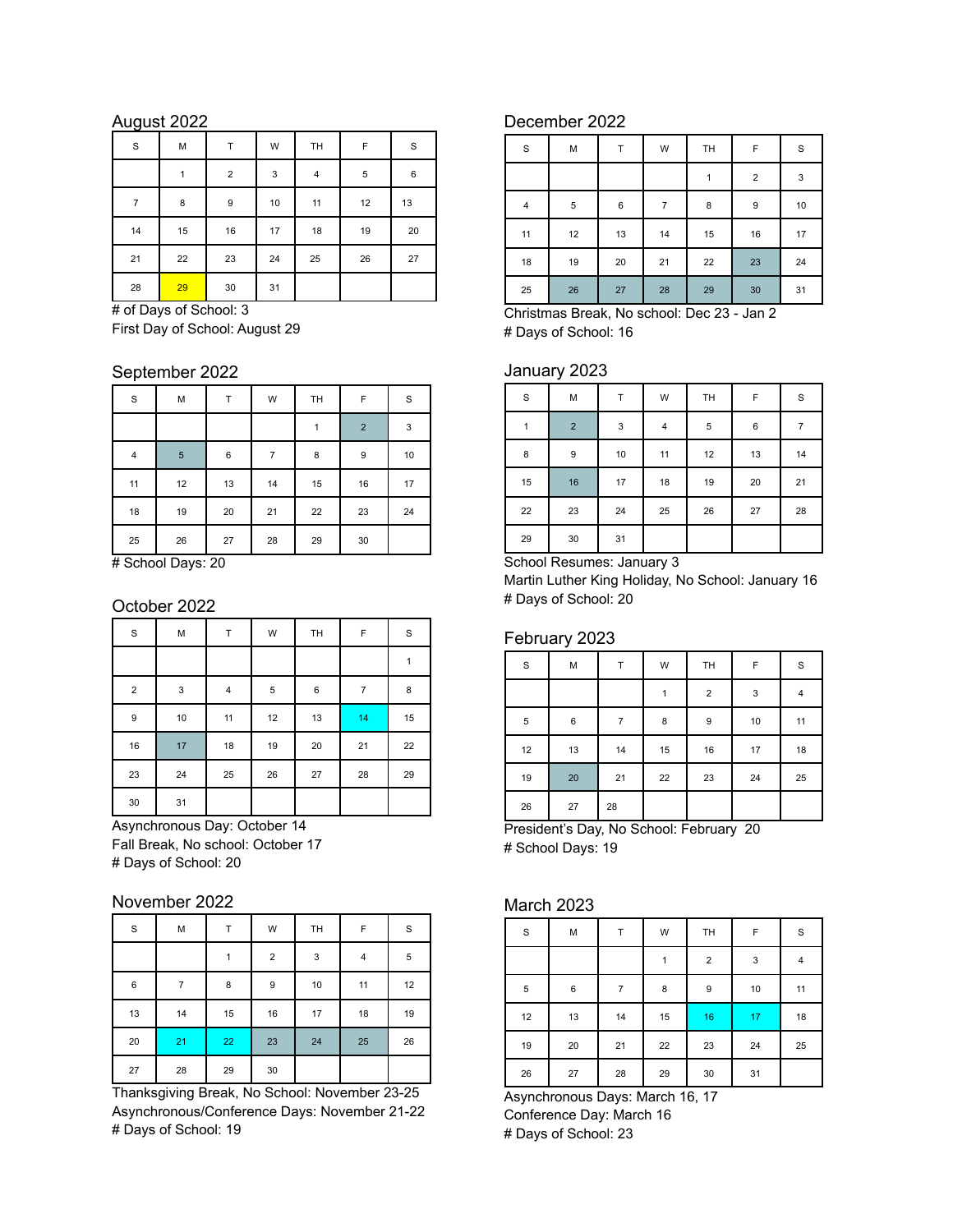## August 2022

| S              | М  | Т                       | W                         | TH             | F              | S       |
|----------------|----|-------------------------|---------------------------|----------------|----------------|---------|
|                | 1  | $\overline{\mathbf{c}}$ | $\ensuremath{\mathsf{3}}$ | $\overline{4}$ | $\overline{5}$ | $\,6\,$ |
| $\overline{7}$ | 8  | 9                       | 10                        | 11             | 12             | 13      |
| 14             | 15 | 16                      | 17                        | 18             | 19             | 20      |
| 21             | 22 | 23                      | 24                        | 25             | 26             | 27      |
| 28             | 29 | 30                      | 31                        |                |                |         |

# of Days of School: 3 First Day of School: August 29

### September 2022

| $\mathbf S$             | М              | т  | W              | TH | F            | S  |
|-------------------------|----------------|----|----------------|----|--------------|----|
|                         |                |    |                | 1  | $\mathbf{2}$ | 3  |
| $\overline{\mathbf{4}}$ | $\overline{5}$ | 6  | $\overline{7}$ | 8  | 9            | 10 |
| 11                      | 12             | 13 | 14             | 15 | 16           | 17 |
| $18\,$                  | 19             | 20 | 21             | 22 | 23           | 24 |
| 25                      | 26             | 27 | 28             | 29 | 30           |    |

# School Days: 20

## October 2022

| $\mathbf S$ | M           | Т         | W           | TH      | F              | $\mathbf S$ |
|-------------|-------------|-----------|-------------|---------|----------------|-------------|
|             |             |           |             |         |                | 1           |
| $\mathbf 2$ | $\mathsf 3$ | $\pmb{4}$ | $\,$ 5 $\,$ | $\,6\,$ | $\overline{7}$ | 8           |
| 9           | 10          | 11        | 12          | 13      | 14             | 15          |
| $16\,$      | 17          | 18        | 19          | 20      | 21             | 22          |
| 23          | 24          | 25        | 26          | 27      | 28             | 29          |
| $30\,$      | 31          |           |             |         |                |             |

Asynchronous Day: October 14 Fall Break, No school: October 17 # Days of School: 20

## November 2022

| $\mathbf S$ | М  | Т            | W                | TH | F  | S  |
|-------------|----|--------------|------------------|----|----|----|
|             |    | $\mathbf{1}$ | $\mathbf 2$      | 3  | 4  | 5  |
| $\,6\,$     | 7  | 8            | $\boldsymbol{9}$ | 10 | 11 | 12 |
| 13          | 14 | 15           | 16               | 17 | 18 | 19 |
| 20          | 21 | 22           | 23               | 24 | 25 | 26 |
| 27          | 28 | 29           | 30               |    |    |    |

Thanksgiving Break, No School: November 23-25 Asynchronous/Conference Days: November 21-22 # Days of School: 19

## December 2022

| $\mathbf S$             | М          | Т       | W              | TH | F                | S  |
|-------------------------|------------|---------|----------------|----|------------------|----|
|                         |            |         |                | 1  | $\overline{2}$   | 3  |
| $\overline{\mathbf{4}}$ | $\sqrt{5}$ | $\,6\,$ | $\overline{7}$ | 8  | $\boldsymbol{9}$ | 10 |
| 11                      | 12         | 13      | 14             | 15 | 16               | 17 |
| 18                      | 19         | 20      | 21             | 22 | 23               | 24 |
| 25                      | 26         | 27      | 28             | 29 | 30               | 31 |

Christmas Break, No school: Dec 23 - Jan 2 # Days of School: 16

#### January 2023

| $\mathbf S$ | M           | T           | W  | TH          | F       | $\mathbf S$    |
|-------------|-------------|-------------|----|-------------|---------|----------------|
| 1           | $\mathbf 2$ | $\mathsf 3$ | 4  | $\,$ 5 $\,$ | $\,6\,$ | $\overline{7}$ |
| 8           | 9           | 10          | 11 | 12          | 13      | 14             |
| 15          | 16          | 17          | 18 | 19          | 20      | 21             |
| 22          | 23          | 24          | 25 | 26          | 27      | 28             |
| 29          | 30          | 31          |    |             |         |                |

School Resumes: January 3

Martin Luther King Holiday, No School: January 16 # Days of School: 20

### February 2023

| $\mathbf S$ | М  | T  | W  | TH          | F  | S  |
|-------------|----|----|----|-------------|----|----|
|             |    |    |    | $\mathbf 2$ | 3  | 4  |
| $\sqrt{5}$  | 6  |    | 8  | 9           | 10 | 11 |
| 12          | 13 | 14 | 15 | 16          | 17 | 18 |
| 19          | 20 | 21 | 22 | 23          | 24 | 25 |
| 26          | 27 | 28 |    |             |    |    |

President's Day, No School: February 20 # School Days: 19

## March 2023

| $\mathbf S$ | M  | Т              | W  | TH               | F  | $\mathbf S$ |
|-------------|----|----------------|----|------------------|----|-------------|
|             |    |                | 1  | $\mathbf 2$      | 3  | $\pmb{4}$   |
| $\sqrt{5}$  | 6  | $\overline{7}$ | 8  | $\boldsymbol{9}$ | 10 | 11          |
| $12\,$      | 13 | 14             | 15 | 16               | 17 | 18          |
| 19          | 20 | 21             | 22 | 23               | 24 | 25          |
| 26          | 27 | 28             | 29 | $30\,$           | 31 |             |

Asynchronous Days: March 16, 17 Conference Day: March 16 # Days of School: 23